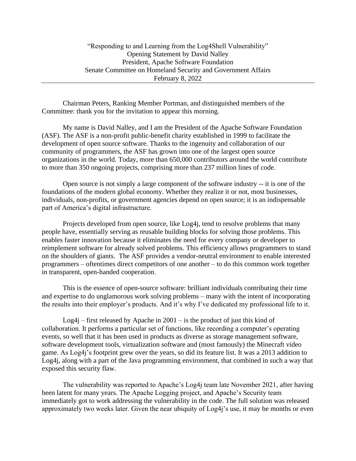Chairman Peters, Ranking Member Portman, and distinguished members of the Committee: thank you for the invitation to appear this morning.

My name is David Nalley, and I am the President of the Apache Software Foundation (ASF). The ASF is a non-profit public-benefit charity established in 1999 to facilitate the development of open source software. Thanks to the ingenuity and collaboration of our community of programmers, the ASF has grown into one of the largest open source organizations in the world. Today, more than 650,000 contributors around the world contribute to more than 350 ongoing projects, comprising more than 237 million lines of code.

Open source is not simply a large component of the software industry -- it is one of the foundations of the modern global economy. Whether they realize it or not, most businesses, individuals, non-profits, or government agencies depend on open source; it is an indispensable part of America's digital infrastructure.

Projects developed from open source, like Log4j, tend to resolve problems that many people have, essentially serving as reusable building blocks for solving those problems. This enables faster innovation because it eliminates the need for every company or developer to reimplement software for already solved problems. This efficiency allows programmers to stand on the shoulders of giants. The ASF provides a vendor-neutral environment to enable interested programmers – oftentimes direct competitors of one another – to do this common work together in transparent, open-handed cooperation.

This is the essence of open-source software: brilliant individuals contributing their time and expertise to do unglamorous work solving problems – many with the intent of incorporating the results into their employer's products. And it's why I've dedicated my professional life to it.

Log4j – first released by Apache in  $2001 -$  is the product of just this kind of collaboration. It performs a particular set of functions, like recording a computer's operating events, so well that it has been used in products as diverse as storage management software, software development tools, virtualization software and (most famously) the Minecraft video game. As Log4j's footprint grew over the years, so did its feature list. It was a 2013 addition to Log4j, along with a part of the Java programming environment, that combined in such a way that exposed this security flaw.

The vulnerability was reported to Apache's Log4j team late November 2021, after having been latent for many years. The Apache Logging project, and Apache's Security team immediately got to work addressing the vulnerability in the code. The full solution was released approximately two weeks later. Given the near ubiquity of Log4j's use, it may be months or even